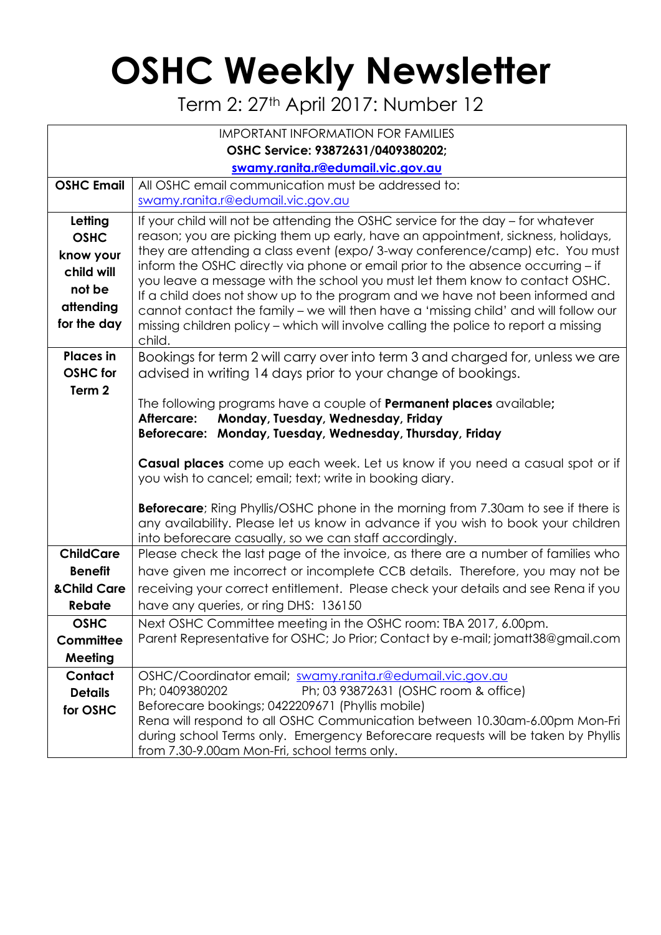## **OSHC Weekly Newsletter**

Term 2: 27<sup>th</sup> April 2017: Number 12

| <b>IMPORTANT INFORMATION FOR FAMILIES</b> |                                                                                                                                                                |  |  |  |  |  |
|-------------------------------------------|----------------------------------------------------------------------------------------------------------------------------------------------------------------|--|--|--|--|--|
| OSHC Service: 93872631/0409380202;        |                                                                                                                                                                |  |  |  |  |  |
| swamy.ranita.r@edumail.vic.gov.au         |                                                                                                                                                                |  |  |  |  |  |
| <b>OSHC Email</b>                         | All OSHC email communication must be addressed to:                                                                                                             |  |  |  |  |  |
|                                           | swamy.ranita.r@edumail.vic.gov.au                                                                                                                              |  |  |  |  |  |
| Letting                                   | If your child will not be attending the OSHC service for the day - for whatever                                                                                |  |  |  |  |  |
| <b>OSHC</b>                               | reason; you are picking them up early, have an appointment, sickness, holidays,                                                                                |  |  |  |  |  |
| know your                                 | they are attending a class event (expo/3-way conference/camp) etc. You must                                                                                    |  |  |  |  |  |
| child will                                | inform the OSHC directly via phone or email prior to the absence occurring - if<br>you leave a message with the school you must let them know to contact OSHC. |  |  |  |  |  |
| not be                                    | If a child does not show up to the program and we have not been informed and                                                                                   |  |  |  |  |  |
| attending                                 | cannot contact the family - we will then have a 'missing child' and will follow our                                                                            |  |  |  |  |  |
| for the day                               | missing children policy - which will involve calling the police to report a missing<br>child.                                                                  |  |  |  |  |  |
| <b>Places in</b>                          | Bookings for term 2 will carry over into term 3 and charged for, unless we are                                                                                 |  |  |  |  |  |
| <b>OSHC</b> for                           | advised in writing 14 days prior to your change of bookings.                                                                                                   |  |  |  |  |  |
| Term 2                                    |                                                                                                                                                                |  |  |  |  |  |
|                                           | The following programs have a couple of <b>Permanent places</b> available;                                                                                     |  |  |  |  |  |
|                                           | Aftercare:<br>Monday, Tuesday, Wednesday, Friday                                                                                                               |  |  |  |  |  |
|                                           | Beforecare: Monday, Tuesday, Wednesday, Thursday, Friday                                                                                                       |  |  |  |  |  |
|                                           | Casual places come up each week. Let us know if you need a casual spot or if                                                                                   |  |  |  |  |  |
|                                           | you wish to cancel; email; text; write in booking diary.                                                                                                       |  |  |  |  |  |
|                                           |                                                                                                                                                                |  |  |  |  |  |
|                                           | <b>Beforecare</b> ; Ring Phyllis/OSHC phone in the morning from 7.30am to see if there is                                                                      |  |  |  |  |  |
|                                           | any availability. Please let us know in advance if you wish to book your children                                                                              |  |  |  |  |  |
| <b>ChildCare</b>                          | into beforecare casually, so we can staff accordingly.<br>Please check the last page of the invoice, as there are a number of families who                     |  |  |  |  |  |
| <b>Benefit</b>                            | have given me incorrect or incomplete CCB details. Therefore, you may not be                                                                                   |  |  |  |  |  |
| <b>&amp;Child Care</b>                    | receiving your correct entitlement. Please check your details and see Rena if you                                                                              |  |  |  |  |  |
| <b>Rebate</b>                             | have any queries, or ring DHS: 136150                                                                                                                          |  |  |  |  |  |
| <b>OSHC</b>                               | Next OSHC Committee meeting in the OSHC room: TBA 2017, 6.00pm.                                                                                                |  |  |  |  |  |
| Committee                                 | Parent Representative for OSHC; Jo Prior; Contact by e-mail; jomatt38@gmail.com                                                                                |  |  |  |  |  |
| Meeting                                   |                                                                                                                                                                |  |  |  |  |  |
| Contact                                   | OSHC/Coordinator email; swamy.ranita.r@edumail.vic.gov.au                                                                                                      |  |  |  |  |  |
| <b>Details</b>                            | Ph; 03 93872631 (OSHC room & office)<br>Ph; 0409380202                                                                                                         |  |  |  |  |  |
| for OSHC                                  | Beforecare bookings; 0422209671 (Phyllis mobile)                                                                                                               |  |  |  |  |  |
|                                           | Rena will respond to all OSHC Communication between 10.30am-6.00pm Mon-Fri                                                                                     |  |  |  |  |  |
|                                           | during school Terms only. Emergency Beforecare requests will be taken by Phyllis                                                                               |  |  |  |  |  |
|                                           | from 7.30-9.00am Mon-Fri, school terms only.                                                                                                                   |  |  |  |  |  |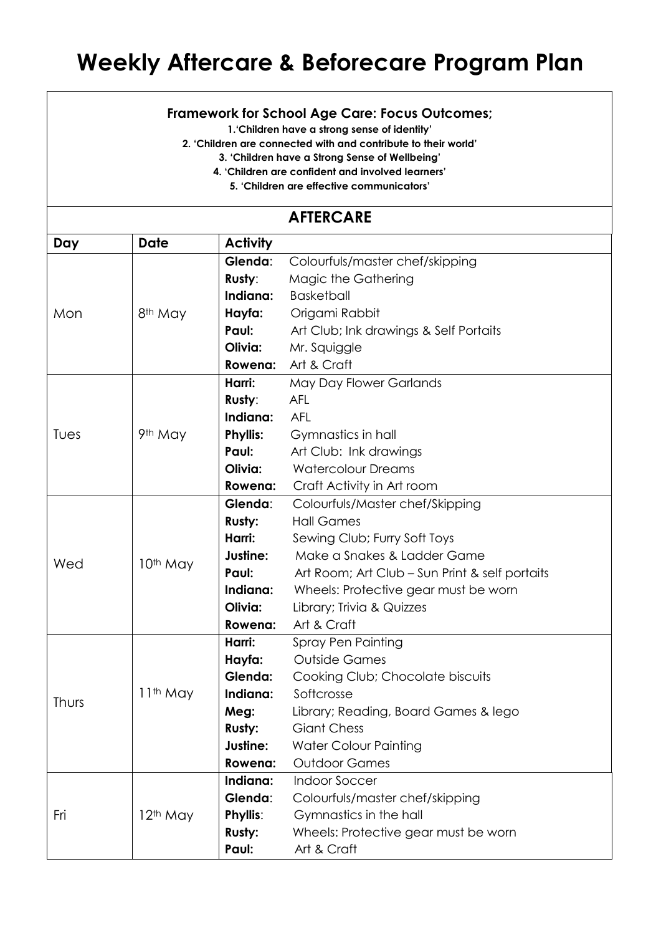## **Weekly Aftercare & Beforecare Program Plan**

## **Framework for School Age Care: Focus Outcomes;**

**1.'Children have a strong sense of identity'**

**2. 'Children are connected with and contribute to their world'**

**3. 'Children have a Strong Sense of Wellbeing'**

**4. 'Children are confident and involved learners'**

**5. 'Children are effective communicators'**

| <b>AFTERCARE</b> |                      |                 |                                                |  |  |  |
|------------------|----------------------|-----------------|------------------------------------------------|--|--|--|
| Day              | <b>Date</b>          | <b>Activity</b> |                                                |  |  |  |
| Mon              |                      | Glenda:         | Colourfuls/master chef/skipping                |  |  |  |
|                  |                      | Rusty:          | Magic the Gathering                            |  |  |  |
|                  |                      | Indiana:        | <b>Basketball</b>                              |  |  |  |
|                  | 8 <sup>th</sup> May  | Hayfa:          | Origami Rabbit                                 |  |  |  |
|                  |                      | Paul:           | Art Club; Ink drawings & Self Portaits         |  |  |  |
|                  |                      | Olivia:         | Mr. Squiggle                                   |  |  |  |
|                  |                      | Rowena:         | Art & Craft                                    |  |  |  |
| Tues             |                      | Harri:          | May Day Flower Garlands                        |  |  |  |
|                  |                      | Rusty:          | <b>AFL</b>                                     |  |  |  |
|                  |                      | Indiana:        | <b>AFL</b>                                     |  |  |  |
|                  | 9th May              | <b>Phyllis:</b> | Gymnastics in hall                             |  |  |  |
|                  |                      | Paul:           | Art Club: Ink drawings                         |  |  |  |
|                  |                      | Olivia:         | <b>Watercolour Dreams</b>                      |  |  |  |
|                  |                      | Rowena:         | Craft Activity in Art room                     |  |  |  |
|                  |                      | Glenda:         | Colourfuls/Master chef/Skipping                |  |  |  |
|                  |                      | Rusty:          | <b>Hall Games</b>                              |  |  |  |
| Wed              |                      | Harri:          | Sewing Club; Furry Soft Toys                   |  |  |  |
|                  | 10th May             | Justine:        | Make a Snakes & Ladder Game                    |  |  |  |
|                  |                      | Paul:           | Art Room; Art Club - Sun Print & self portaits |  |  |  |
|                  |                      | Indiana:        | Wheels: Protective gear must be worn           |  |  |  |
|                  |                      | Olivia:         | Library; Trivia & Quizzes                      |  |  |  |
|                  |                      | Rowena:         | Art & Craft                                    |  |  |  |
|                  |                      | Harri:          | Spray Pen Painting                             |  |  |  |
| Thurs            | 11 <sup>th</sup> May | Hayfa:          | <b>Outside Games</b>                           |  |  |  |
|                  |                      | Glenda:         | Cooking Club; Chocolate biscuits               |  |  |  |
|                  |                      | Indiana:        | Softcrosse                                     |  |  |  |
|                  |                      | Meg:            | Library; Reading, Board Games & lego           |  |  |  |
|                  |                      | <b>Rusty:</b>   | <b>Giant Chess</b>                             |  |  |  |
|                  |                      | Justine:        | <b>Water Colour Painting</b>                   |  |  |  |
|                  |                      | Rowena:         | <b>Outdoor Games</b>                           |  |  |  |
| Fri              |                      | Indiana:        | <b>Indoor Soccer</b>                           |  |  |  |
|                  | 12 <sup>th</sup> May | Glenda:         | Colourfuls/master chef/skipping                |  |  |  |
|                  |                      | Phyllis:        | Gymnastics in the hall                         |  |  |  |
|                  |                      | <b>Rusty:</b>   | Wheels: Protective gear must be worn           |  |  |  |
|                  |                      | Paul:           | Art & Craft                                    |  |  |  |